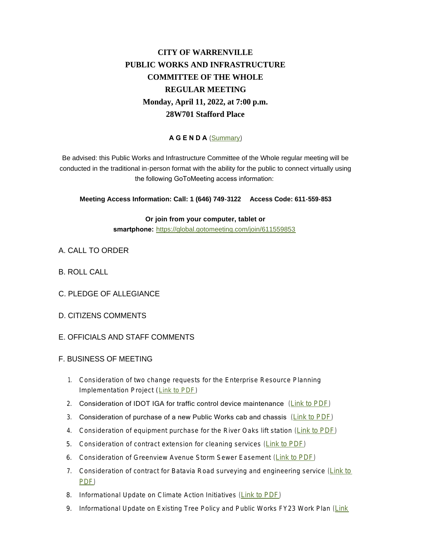## **CITY OF WARRENVILLE PUBLIC WORKS AND INFRASTRUCTURE COMMITTEE OF THE WHOLE REGULAR MEETING Monday, April 11, 2022, at 7:00 p.m. 28W701 Stafford Place**

## **A G E N D A** ([Summary](https://www.warrenville.il.us/DocumentCenter/View/19258/06-13-22-PWIC-Summary))

Be advised: this Public Works and Infrastructure Committee of the Whole regular meeting will be conducted in the traditional in-person format with the ability for the public to connect virtually using the following GoToMeeting access information:

**Meeting Access Information: Call: 1 (646) 749-3122 Access Code: 611-559-853**

**Or join from your computer, tablet or smartphone:** <https://global.gotomeeting.com/join/611559853>

- A. CALL TO ORDER
- B. ROLL CALL
- C. PLEDGE OF ALLEGIANCE
- D. CITIZENS COMMENTS
- E. OFFICIALS AND STAFF COMMENTS
- F. BUSINESS OF MEETING
	- 1. Consideration of two change requests for the Enterprise Resource Planning Implementation Project ([Link to PDF\)](https://www.warrenville.il.us/DocumentCenter/View/19257/F-1---Change-Request-June-2022)
	- 2. Consideration of IDOT IGA for traffic control device maintenance ([Link to PDF](https://www.warrenville.il.us/DocumentCenter/View/19251/F-2---IDOT-IGA-Traffic-Signal-Maintenance))
	- 3. Consideration of purchase of a new Public Works cab and chassis ([Link to PDF](https://www.warrenville.il.us/DocumentCenter/View/19252/F-3---Resolution-Approving-the-Purchase-of-a-Dump-Truck-Cab-and-Chassis-from-Rush-Truck-Center-2022))
	- 4. Consideration of equipment purchase for the River Oaks lift station ([Link to PDF](https://www.warrenville.il.us/DocumentCenter/View/19253/F-4---Resolution-Approving-Purchase-of-Lift-Station-Equipment-from-Metropolitan-Pump-Company-00126611-4xFDE7A))
	- 5. Consideration of contract extension for cleaning services ([Link to PDF](https://www.warrenville.il.us/DocumentCenter/View/19245/F-5---Crystal-Cleaning-Contract---Extension))
	- 6. Consideration of Greenview Avenue Storm Sewer Easement ([Link to PDF\)](https://www.warrenville.il.us/DocumentCenter/View/19246/F-6---Ordinance-Approving-Easement-Agreement-Greenview-Avenue-Storm-Stewer-Improvements-00126596xFDE7A)
	- 7. Consideration of contract for Batavia Road surveying and engineering service ([Link t](https://www.warrenville.il.us/DocumentCenter/View/19247/F-7----Resolution-Approving-Agreement-for-Survey-Design-Engineering-Batavia-Road-Sidewalk)o PDF)
	- 8. Informational Update on Climate Action Initiatives ([Link to PDF](https://www.warrenville.il.us/DocumentCenter/View/19248/F-8---2022_Green-Initiatives-Review-DRAFT))
	- 9. Informational Update on Existing Tree Policy and Public Works FY23 Work Plan (Link